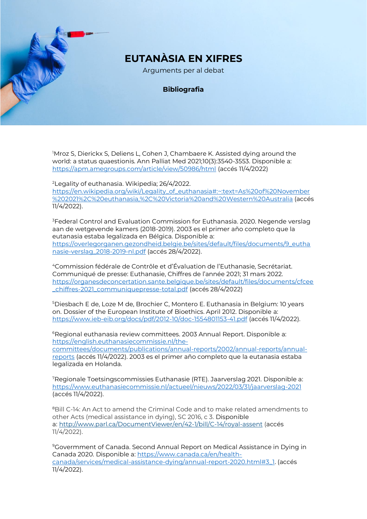## **EUTANÀSIA EN XIFRES**

Arguments per al debat

## **Bibliografia**

<sup>1</sup>Mroz S, Dierickx S, Deliens L, Cohen J, Chambaere K. Assisted dying around the world: a status quaestionis. Ann Palliat Med 2021;10(3):3540-3553. Disponible a: <https://apm.amegroups.com/article/view/50986/html> (accés 11/4/2022)

<sup>2</sup>Legality of euthanasia. Wikipedia; 26/4/2022. [https://en.wikipedia.org/wiki/Legality\\_of\\_euthanasia#:~:text=As%20of%20November](https://en.wikipedia.org/wiki/Legality_of_euthanasia#:~:text=As%20of%20November%202021%2C%20euthanasia,%2C%20Victoria%20and%20Western%20Australia) [%202021%2C%20euthanasia,%2C%20Victoria%20and%20Western%20Australia](https://en.wikipedia.org/wiki/Legality_of_euthanasia#:~:text=As%20of%20November%202021%2C%20euthanasia,%2C%20Victoria%20and%20Western%20Australia) (accés 11/4/2022).

<sup>3</sup>Federal Control and Evaluation Commission for Euthanasia. 2020. Negende verslag aan de wetgevende kamers (2018-2019). 2003 es el primer año completo que la eutanasia estaba legalizada en Bélgica. Disponible a: [https://overlegorganen.gezondheid.belgie.be/sites/default/files/documents/9\\_eutha](https://overlegorganen.gezondheid.belgie.be/sites/default/files/documents/9_euthanasie-verslag_2018-2019-nl.pdf) [nasie-verslag\\_2018-2019-nl.pdf](https://overlegorganen.gezondheid.belgie.be/sites/default/files/documents/9_euthanasie-verslag_2018-2019-nl.pdf) (accés 28/4/2022).

<sup>4</sup>Commission fédérale de Contrôle et d'Évaluation de l'Euthanasie, Secrétariat. Communiqué de presse: Euthanasie, Chiffres de l'année 2021; 31 mars 2022. [https://organesdeconcertation.sante.belgique.be/sites/default/files/documents/cfcee](https://organesdeconcertation.sante.belgique.be/sites/default/files/documents/cfcee_chiffres-2021_communiquepresse-total.pdf) [\\_chiffres-2021\\_communiquepresse-total.pdf](https://organesdeconcertation.sante.belgique.be/sites/default/files/documents/cfcee_chiffres-2021_communiquepresse-total.pdf) (accés 28/4/2022)

<sup>5</sup>Diesbach E de, Loze M de, Brochier C, Montero E. Euthanasia in Belgium: 10 years on. Dossier of the European Institute of Bioethics. April 2012. Disponible a: <https://www.ieb-eib.org/docs/pdf/2012-10/doc-1554801153-41.pdf> (accés 11/4/2022).

<sup>6</sup>Regional euthanasia review committees. 2003 Annual Report. Disponible a: [https://english.euthanasiecommissie.nl/the](https://english.euthanasiecommissie.nl/the-committees/documents/publications/annual-reports/2002/annual-reports/annual-reports)[committees/documents/publications/annual-reports/2002/annual-reports/annual](https://english.euthanasiecommissie.nl/the-committees/documents/publications/annual-reports/2002/annual-reports/annual-reports)[reports](https://english.euthanasiecommissie.nl/the-committees/documents/publications/annual-reports/2002/annual-reports/annual-reports) (accés 11/4/2022). 2003 es el primer año completo que la eutanasia estaba legalizada en Holanda.

<sup>7</sup>Regionale Toetsingscommissies Euthanasie (RTE). Jaarverslag 2021. Disponible a: <https://www.euthanasiecommissie.nl/actueel/nieuws/2022/03/31/jaarverslag-2021> (accés 11/4/2022).

<sup>8</sup>Bill C-14: An Act to amend the Criminal Code and to make related amendments to other Acts (medical assistance in dying), SC 2016, c 3. Disponible a: <http://www.parl.ca/DocumentViewer/en/42-1/bill/C-14/royal-assent> (accés 11/4/2022).

<sup>9</sup>Govermment of Canada. Second Annual Report on Medical Assistance in Dying in Canada 2020. Disponible a[: https://www.canada.ca/en/health](https://www.canada.ca/en/health-canada/services/medical-assistance-dying/annual-report-2020.html#3_1)[canada/services/medical-assistance-dying/annual-report-2020.html#3\\_1.](https://www.canada.ca/en/health-canada/services/medical-assistance-dying/annual-report-2020.html#3_1) (accés 11/4/2022).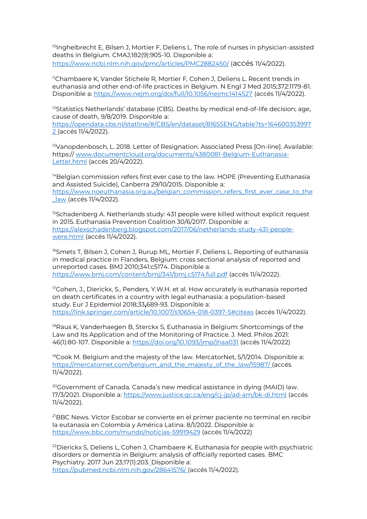<sup>10</sup>Inghelbrecht E, Bilsen J, Mortier F, Deliens L. The role of nurses in physician-assisted deaths in Belgium. CMAJ;182(9):905-10. Disponible a: <https://www.ncbi.nlm.nih.gov/pmc/articles/PMC2882450/> (accés 11/4/2022).

<sup>11</sup>Chambaere K, Vander Stichele R, Mortier F, Cohen J, Deliens L. Recent trends in euthanasia and other end-of-life practices in Belgium. N Engl J Med 2015;372:1179-81. Disponible a:<https://www.nejm.org/doi/full/10.1056/nejmc1414527> (accés 11/4/2022).

<sup>12</sup>Statistics Netherlands' database (CBS). Deaths by medical end-of-life decision; age, cause of death, 9/8/2019. Disponible a:

[https://opendata.cbs.nl/statline/#/CBS/en/dataset/81655ENG/table?ts=164600353997](https://opendata.cbs.nl/statline/#/CBS/en/dataset/81655ENG/table?ts=1646003539972) [2](https://opendata.cbs.nl/statline/#/CBS/en/dataset/81655ENG/table?ts=1646003539972) (accés 11/4/2022).

<sup>13</sup>Vanopdenbosch, L. 2018. Letter of Resignation. Associated Press [On-line]. Available: https:// [www.documentcloud.org/documents/4380081-Belgium-Euthanasia-](http://www.documentcloud.org/documents/4380081-Belgium-Euthanasia-Letter.html)[Letter.html](http://www.documentcloud.org/documents/4380081-Belgium-Euthanasia-Letter.html) (accés 20/4/2022).

<sup>14</sup>Belgian commission refers first ever case to the law. HOPE (Preventing Euthanasia and Assisted Suicide), Canberra 29/10/2015. Disponible a: [https://www.noeuthanasia.org.au/belgian\\_commission\\_refers\\_first\\_ever\\_case\\_to\\_the](https://www.noeuthanasia.org.au/belgian_commission_refers_first_ever_case_to_the_law) [\\_law](https://www.noeuthanasia.org.au/belgian_commission_refers_first_ever_case_to_the_law) (accés 11/4/2022).

<sup>15</sup>Schadenberg A. Netherlands study: 431 people were killed without explicit request in 2015. Euthanasia Prevention Coalition 30/6/2017. Disponible a: [https://alexschadenberg.blogspot.com/2017/06/netherlands-study-431-people](https://alexschadenberg.blogspot.com/2017/06/netherlands-study-431-people-were.html)[were.html](https://alexschadenberg.blogspot.com/2017/06/netherlands-study-431-people-were.html) (accés 11/4/2022).

<sup>16</sup>Smets T, Bilsen J, Cohen J, Rurup ML, Mortier F, Deliens L. Reporting of euthanasia in medical practice in Flanders, Belgium: cross sectional analysis of reported and unreported cases. BMJ 2010;341:c5174. Disponible a: <https://www.bmj.com/content/bmj/341/bmj.c5174.full.pdf> (accés 11/4/2022).

 $17$ Cohen, J., Dierickx, S., Penders, Y.W.H. et al. How accurately is euthanasia reported on death certificates in a country with legal euthanasia: a population-based study. Eur J Epidemiol 2018;33**,**689-93. Disponible a: <https://link.springer.com/article/10.1007/s10654-018-0397-5#citeas> (accés 11/4/2022).

<sup>18</sup>Raus K, Vanderhaegen B, Sterckx S, Euthanasia in Belgium: Shortcomings of the Law and Its Application and of the Monitoring of Practice. J. Med. Philos 2021: 46(1):80-107. Disponible a:<https://doi.org/10.1093/jmp/jhaa031> (accés 11/4/2022)

<sup>19</sup>Cook M. Belgium and the majesty of the law. MercatorNet, 5/1/2014. Disponible a: [https://mercatornet.com/belgium\\_and\\_the\\_majesty\\_of\\_the\\_law/15987/](https://mercatornet.com/belgium_and_the_majesty_of_the_law/15987/) (accés 11/4/2022).

<sup>20</sup>Government of Canada. Canada's new medical assistance in dying (MAID) law. 17/3/2021. Disponible a:<https://www.justice.gc.ca/eng/cj-jp/ad-am/bk-di.html> (accés 11/4/2022).

<sup>21</sup>BBC News. Víctor Escobar se convierte en el primer paciente no terminal en recibir la eutanasia en Colombia y América Latina. 8/1/2022. Disponible a: <https://www.bbc.com/mundo/noticias-59919429> (accés 11/4/2022)

<sup>22</sup> Dierickx S, Deliens L, Cohen J, Chambaere K. Euthanasia for people with psychiatric disorders or dementia in Belgium: analysis of officially reported cases. BMC Psychiatry. 2017 Jun 23;17(1):203. Disponible a: <https://pubmed.ncbi.nlm.nih.gov/28641576/> (accés 11/4/2022).